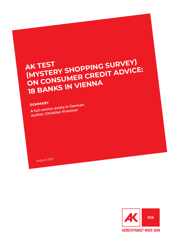# **AK TEST AK TEST<br>(MYSTERY SHOPPING SURVEY)**<br>(MYSTERY SHOPPING CREDIT ADVICE **AK TEST SHOPPING SURVEY)**<br>
(MYSTERY SHOPPING SURVEY)<br>
ON CONSUMER CREDIT ADVICE: **18 BANKS IN VIENNA**

**SUMMARY A full version exists in German. Author: Christian Prantner**

August 2021

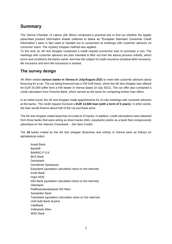## **Summary**

The Vienna Chamber of Labour (AK Wien) conducted a practical test to find out whether the legally prescribed product information sheets (referred to below as "European Standard Consumer Credit Information") were in fact used or handed out to consumers at meetings with customer advisors on consumer loans. The mystery shopper method was applied.

To this end, an AK test shopper composed a credit request (consumer loan to purchase a car). The meetings with customer advisors are also intended to filter out how the advice process unfolds, which terms and conditions the banks name, and how the subject of credit insurance (residual debt insurance, life insurance and term life insurance) is treated.

### **The survey design**

AK Wien visited **various banks in Vienna in July/August 2021** to meet with customer advisors about financing for a car. The car being financed was a VW Golf (new), which the AK test shopper was offered for EUR 25,000 (offer from a VW dealer in Vienna dated 19 July 2021). The car offer also contained a credit calculation from Porsche Bank, which served as the basis for comparing further loan offers.

In an initial round, the AK test shopper made appointments for on-site meetings with customer advisors at the banks. The credit request involved a **EUR 13,500 loan (with a term of 5 years)**. In other words, the loan would finance about half of the car purchase price.

The AK test shopper visited branches of a total of 15 banks; in addition, credit calculations were obtained from three banks that were acting as direct banks (ING, easybank) and/or as a bank that conspicuously advertised on the Internet (Teambank – Der faire Credit).

The **18** banks visited by the AK test shopper (branches and online) in Vienna were as follows (in alphabetical order):

Anadi Bank Bank99 BAWAG P.S.K. BKS Bank Denizbank Dornbirner Sparkasse Easybank (quotation calculation done on the internet) Erste Bank Hypo NOE ING-Bank (quotation calculation done on the internet) **Oberbank** Raiffeisenlandesbank NÖ Wien Santander Bank Teambank (quotation calculation done on the internet) UniCredit Bank Austria Vakifbank Volksbank Wien WSK Bank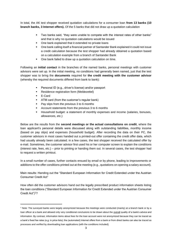In total, the AK test shopper received quotation calculations for a consumer loan **from 13 banks (10 branch banks, 3 Internet offers).** Of the 5 banks that did not draw up a quotation calculation

- Two banks said, "they were unable to compete with the interest rates of other banks" and that is why no quotation calculations would be issued
- One bank explained that it extended no private loans
- One bank calling itself a financial partner of Santander Bank explained it could not issue a credit calculation because the test shopper had already obtained a quotation based on a calculation example from a branch of Santander Bank
- One bank failed to draw up a quotation calculation on time.

Following an **initial contact** in the branches of the named banks, personal meetings with customer advisors were set up. In the initial meeting, no conditions had generally been named, just that the test shopper was to bring the **documents** required for **the credit meeting with the customer advisor**  (whereby the required documents differed from bank to bank):

- Personal ID (e.g., driver's license) and/or passport
- Residence registration form (Meldezettel)
- E-Card
- ATM card (from the customer's regular bank)
- Pay slips from the previous 3 to 6 months
- Account statements from the previous 3 to 6 months
- Household budget: a statement of monthly expenses and income (salaries, bonuses, allowances, etc.)

Below are the results from the **second meetings or the actual consultations on credit**, where the loan applicant's personal details were discussed along with outstanding liabilities, monthly income (based on pay slips) and expenses (household budget). After recording the data on their PC, the customer advisors in most cases handed out a printed-out offer containing the credit offer data, which had usually already been calculated; in a few cases, the test shopper received the calculated offer by e-mail. Sometimes, the customer advisor first used his or her computer screen to explain the conditions (interest rate, fees, etc.) – prior to printing or handing them out. In several cases, the test shopper had to request a written printout.

In a small number of cases, further contacts ensued by email or by phone, leading to improvements or additions to the offer conditions printed out at the meeting (e.g., quotations on opening a salary account).

Main results: Handing out the "Standard European Information for Credit Extended under the Austrian Consumer Credit Act"

How often did the customer advisors hand out the legally prescribed product information sheets listing the loan conditions ("Standard European Information for Credit Extended under the Austrian Consumer Credit Act")<sup>1</sup>?

<sup>1</sup> Note: The surveyed banks were largely anonymized because the meetings were conducted (mainly) at a branch bank or by a loan officer at a bank and allowed only very conditional conclusions to be drawn about the overall quality of a bank's advice and information. By contrast, information items about fees for the loan account were not anonymized because they can be traced as a bank's fixed fee rates (e.g. in price lists); the (automated) Internet offers from a bank or from direct banks can also be traced as processes and verified by downloading loan applications (with the conditions included).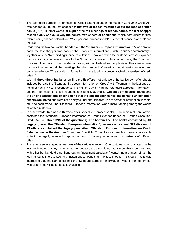- The "Standard European Information for Credit Extended under the Austrian Consumer Credit Act" was handed out to the test shopper **at just two of the ten meetings about the loan at branch banks** (20%). In other words, **at eight of the ten meetings at branch banks, the test shopper received only or exclusively the bank's own sheets of conditions**, which bore different titles: "Non-binding finance calculation", "Your personal finance model", "Personal finance proposal" and the like.
- Regarding the two **banks** that **handed out the "Standard European Information"**: At one branch bank, the test shopper was handed the "Standard Information" – with no further commentary – together with the "Non-binding finance calculation". However, when the customer advisor explained the conditions, she referred only to the "Finance calculation'". In another case, the "Standard European Information" was handed out along with a filled-out loan application. This meeting was the only time among all the meetings that the standard information was at least mentioned and commented upon: "The standard information is there to allow a precontractual comparison of credit offers."
- With all **three direct banks or on-line credit offers**, not only were the bank's own offer sheets included but also the "Standard European Information on Credit"; with Teambank, the last page of the offer had a link to "precontractual information", which had the "Standard European Information" and the information on credit insurance affixed to it. **But for all websites of the direct banks and the on-line calculations of conditions that the test shopper visited, the banks' own condition sheets dominated** and were not displayed until after initial entries of personal information, income, etc. had been made. The "Standard European Information" was a mere trapping among the wealth of written materials.
- In other words, **five of the thirteen offer sheets** (10 branch banks, 3 on-line/direct bank offers) contained the "Standard European Information on Credit Extended under the Austrian Consumer Credit Act") (in **about 39% of the quotations**). **The bottom line: The banks contacted by AK largely ignored the "Standard European Information", because only about 38% (five out of 13 offers ) contained the legally prescribed "Standard European Information on Credit Extended under the Austrian Consumer Credit Act".** So, it was impossible or nearly impossible to fulfil the legally intended purpose, namely, to make precontractual comparisons of different offers.
- There were several **special features** of the various meetings. One customer advisor stated that he was not handing out any written materials because the bank did not want to be able to be compared with other banks. He did not hand out an "instalment calculation" containing a printout of just the loan amount, interest rate and instalment amount until the test shopper insisted on it. It was interesting that this loan officer had the "Standard European Information" lying in front of him but was clearly not willing to make it available.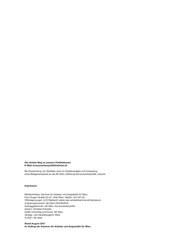Der direkte Weg zu unseren Publikationen: E-Mail: konsumentenpolitik@akwien.at

Bei Verwendung von Textteilen wird um Quellenangabe und Zusendung eines Belegexemplares an die AK Wien, Abteilung Konsumentenpolitik, ersucht.

#### Impressum

Medieninhaber: Kammer für Arbeiter und Angestellte für Wien, Prinz-Eugen-Straße 20–22, 1040 Wien, Telefon: (01) 501 65 Offenlegung gem. § 25 MedienG: siehe wien.arbeiterkammer.at/impressum Zulassungsnummer: AK Wien 02Z34648 M AuftraggeberInnen: AK Wien, Konsumentenpolitik Autorin: Christian Prannter Grafik Umschlag und Druck: AK Wien Verlags- und Herstellungsort: Wien © 2021: AK Wien

#### Stand **August 2021** Im Auftrag der Kammer für Arbeiter und Angestellte für Wien